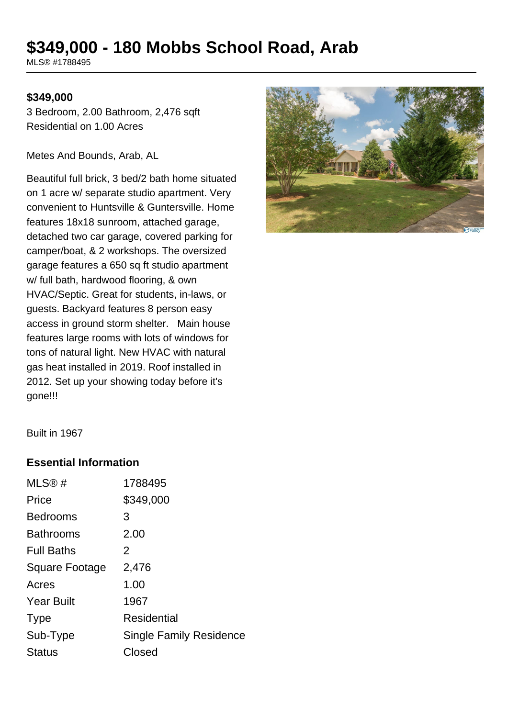# **\$349,000 - 180 Mobbs School Road, Arab**

MLS® #1788495

#### **\$349,000**

3 Bedroom, 2.00 Bathroom, 2,476 sqft Residential on 1.00 Acres

Metes And Bounds, Arab, AL

Beautiful full brick, 3 bed/2 bath home situated on 1 acre w/ separate studio apartment. Very convenient to Huntsville & Guntersville. Home features 18x18 sunroom, attached garage, detached two car garage, covered parking for camper/boat, & 2 workshops. The oversized garage features a 650 sq ft studio apartment w/ full bath, hardwood flooring, & own HVAC/Septic. Great for students, in-laws, or guests. Backyard features 8 person easy access in ground storm shelter. Main house features large rooms with lots of windows for tons of natural light. New HVAC with natural gas heat installed in 2019. Roof installed in 2012. Set up your showing today before it's gone!!!



Built in 1967

#### **Essential Information**

| MLS@#             | 1788495                        |
|-------------------|--------------------------------|
| Price             | \$349,000                      |
| <b>Bedrooms</b>   | 3                              |
| <b>Bathrooms</b>  | 2.00                           |
| <b>Full Baths</b> | 2                              |
| Square Footage    | 2,476                          |
| Acres             | 1.00                           |
| <b>Year Built</b> | 1967                           |
| <b>Type</b>       | Residential                    |
| Sub-Type          | <b>Single Family Residence</b> |
| <b>Status</b>     | Closed                         |